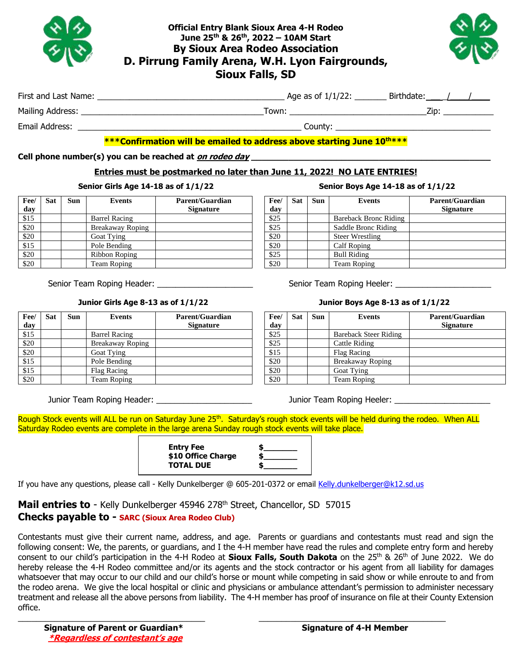

## **Official Entry Blank Sioux Area 4-H Rodeo June 25 th & 26 th, 2022 – 10AM Start By Sioux Area Rodeo Association D. Pirrung Family Arena, W.H. Lyon Fairgrounds, Sioux Falls, SD**



| First and Last Name: | 1/1/22:<br>Age as of 1 | :hdate |  |
|----------------------|------------------------|--------|--|
|                      |                        |        |  |

Mailing Address: entitled the state of the state of the Town: the state of the state of the state of the state of the state of the state of the state of the state of the state of the state of the state of the state of the

Email Address: \_\_\_\_\_\_\_\_\_\_\_\_\_\_\_\_\_\_\_\_\_\_\_\_\_\_\_\_\_\_\_\_\_\_\_\_\_\_\_\_\_\_\_\_\_\_\_\_\_ County: \_\_\_\_\_\_\_\_\_\_\_\_\_\_\_\_\_\_\_\_\_\_\_\_\_\_\_\_\_\_\_\_\_\_

**Fee/ day**

## **\*\*\*Confirmation will be emailed to address above starting June 10 th\*\*\***

#### **Cell phone number(s) you can be reached at on rodeo day \_\_\_\_\_\_\_\_\_\_\_\_\_\_\_\_\_\_\_\_\_\_\_\_\_\_\_\_\_\_\_\_\_\_\_\_\_\_\_\_\_\_\_\_\_**

## **Entries must be postmarked no later than June 11, 2022! NO LATE ENTRIES!**

### **Senior Girls Age 14-18 as of 1/1/22 Senior Boys Age 14-18 as of 1/1/22**

| Fee/<br>day | Sat | Sun | Events               | <b>Parent/Guardian</b><br><b>Signature</b> | Fee/<br>day | Sat | <b>Sun</b> | <b>Events</b>                |
|-------------|-----|-----|----------------------|--------------------------------------------|-------------|-----|------------|------------------------------|
| \$15        |     |     | <b>Barrel Racing</b> |                                            | \$25        |     |            | <b>Bareback Bronc Riding</b> |
| \$20        |     |     | Breakaway Roping     |                                            | \$25        |     |            | Saddle Bronc Riding          |
| \$20        |     |     | Goat Tying           |                                            | \$20        |     |            | <b>Steer Wrestling</b>       |
| \$15        |     |     | Pole Bending         |                                            | \$20        |     |            | Calf Roping                  |
| \$20        |     |     | Ribbon Roping        |                                            | \$25        |     |            | <b>Bull Riding</b>           |
| \$20        |     |     | <b>Team Roping</b>   |                                            | \$20        |     |            | Team Roping                  |

**Sat Sun Events Parent/Guardian** 

| Fee/ | Sat | Sun | <b>Events</b>          | <b>Parent/Guardian</b> |
|------|-----|-----|------------------------|------------------------|
| day  |     |     |                        | <b>Signature</b>       |
| \$25 |     |     | Bareback Bronc Riding  |                        |
| \$25 |     |     | Saddle Bronc Riding    |                        |
| \$20 |     |     | <b>Steer Wrestling</b> |                        |
| \$20 |     |     | Calf Roping            |                        |
| \$25 |     |     | <b>Bull Riding</b>     |                        |
| \$20 |     |     | <b>Team Roping</b>     |                        |

Senior Team Roping Header: \_\_\_\_\_\_\_\_\_\_\_\_\_\_\_\_\_\_\_\_\_ Senior Team Roping Heeler: \_\_\_\_\_\_\_\_\_\_\_\_\_\_\_\_\_\_\_\_\_

#### **Junior Girls Age 8-13 as of 1/1/22 Junior Boys Age 8-13 as of 1/1/22**

| Fee/<br>day | Sat | Sun | <b>Events</b>                | <b>Parent/Guardian</b><br><b>Signature</b> |
|-------------|-----|-----|------------------------------|--------------------------------------------|
| \$25        |     |     | <b>Bareback Steer Riding</b> |                                            |
| \$25        |     |     | Cattle Riding                |                                            |
| \$15        |     |     | Flag Racing                  |                                            |
| \$20        |     |     | <b>Breakaway Roping</b>      |                                            |
| \$20        |     |     | Goat Tying                   |                                            |
| $\$20$      |     |     | <b>Team Roping</b>           |                                            |

Junior Team Roping Header: \_\_\_\_\_\_\_\_\_\_\_\_\_\_\_\_\_\_\_\_\_ Junior Team Roping Heeler: \_\_\_\_\_\_\_\_\_\_\_\_\_\_\_\_\_\_\_\_\_

\$15 Barrel Racing \$20 | Breakaway Roping \$20 Goat Tying \$15 Pole Bending \$15 Flag Racing \$20 Team Roping

Rough Stock events will ALL be run on Saturday June 25<sup>th</sup>. Saturday's rough stock events will be held during the rodeo. When ALL Saturday Rodeo events are complete in the large arena Sunday rough stock events will take place.

| <b>Entry Fee</b><br>\$10 Office Charge<br><b>TOTAL DUE</b> |  |
|------------------------------------------------------------|--|
|------------------------------------------------------------|--|

If you have any questions, please call - Kelly Dunkelberger @ 605-201-0372 or email [Kelly.dunkelberger@k12.sd.us](mailto:Kelly.dunkelberger@k12.sd.us)

Mail entries to - Kelly Dunkelberger 45946 278<sup>th</sup> Street, Chancellor, SD 57015 **Checks payable to - SARC (Sioux Area Rodeo Club)**

**Signature**

Contestants must give their current name, address, and age. Parents or guardians and contestants must read and sign the following consent: We, the parents, or guardians, and I the 4-H member have read the rules and complete entry form and hereby consent to our child's participation in the 4-H Rodeo at **Sioux Falls, South Dakota** on the 25<sup>th</sup> & 26<sup>th</sup> of June 2022. We do hereby release the 4-H Rodeo committee and/or its agents and the stock contractor or his agent from all liability for damages whatsoever that may occur to our child and our child's horse or mount while competing in said show or while enroute to and from the rodeo arena. We give the local hospital or clinic and physicians or ambulance attendant's permission to administer necessary treatment and release all the above persons from liability. The 4-H member has proof of insurance on file at their County Extension office.

\_\_\_\_\_\_\_\_\_\_\_\_\_\_\_\_\_\_\_\_\_\_\_\_\_\_\_\_\_\_\_\_\_\_\_\_\_\_\_\_\_ \_\_\_\_\_\_\_\_\_\_\_\_\_\_\_\_\_\_\_\_\_\_\_\_\_\_\_\_\_\_\_\_\_\_\_\_\_\_\_\_\_

 **Signature of Parent or Guardian\* Signature of 4-H Member \*Regardless of contestant's age**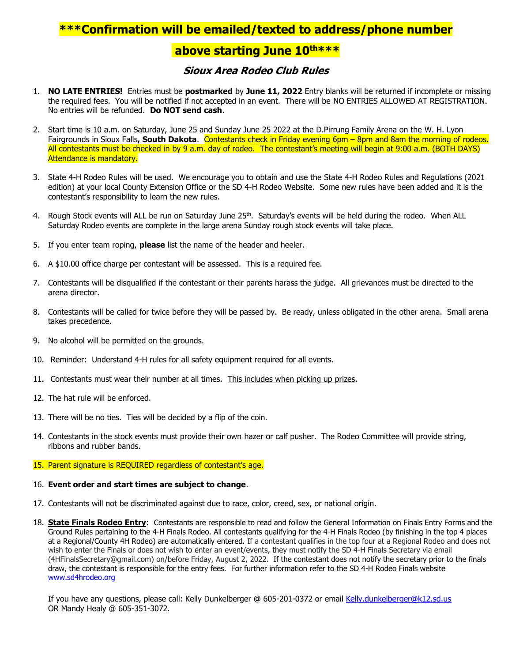## **\*\*\*Confirmation will be emailed/texted to address/phone number**

## **above starting June 10 th\*\*\***

## **Sioux Area Rodeo Club Rules**

- 1. **NO LATE ENTRIES!** Entries must be **postmarked** by **June 11, 2022** Entry blanks will be returned if incomplete or missing the required fees. You will be notified if not accepted in an event. There will be NO ENTRIES ALLOWED AT REGISTRATION. No entries will be refunded. **Do NOT send cash**.
- 2. Start time is 10 a.m. on Saturday, June 25 and Sunday June 25 2022 at the D.Pirrung Family Arena on the W. H. Lyon Fairgrounds in Sioux Falls**, South Dakota**. Contestants check in Friday evening 6pm – 8pm and 8am the morning of rodeos. All contestants must be checked in by 9 a.m. day of rodeo. The contestant's meeting will begin at 9:00 a.m. (BOTH DAYS) Attendance is mandatory.
- 3. State 4-H Rodeo Rules will be used. We encourage you to obtain and use the State 4-H Rodeo Rules and Regulations (2021 edition) at your local County Extension Office or the SD 4-H Rodeo Website. Some new rules have been added and it is the contestant's responsibility to learn the new rules.
- 4. Rough Stock events will ALL be run on Saturday June 25<sup>th</sup>. Saturday's events will be held during the rodeo. When ALL Saturday Rodeo events are complete in the large arena Sunday rough stock events will take place.
- 5. If you enter team roping, **please** list the name of the header and heeler.
- 6. A \$10.00 office charge per contestant will be assessed. This is a required fee.
- 7. Contestants will be disqualified if the contestant or their parents harass the judge. All grievances must be directed to the arena director.
- 8. Contestants will be called for twice before they will be passed by. Be ready, unless obligated in the other arena. Small arena takes precedence.
- 9. No alcohol will be permitted on the grounds.
- 10. Reminder: Understand 4-H rules for all safety equipment required for all events.
- 11. Contestants must wear their number at all times. This includes when picking up prizes.
- 12. The hat rule will be enforced.
- 13. There will be no ties. Ties will be decided by a flip of the coin.
- 14. Contestants in the stock events must provide their own hazer or calf pusher. The Rodeo Committee will provide string, ribbons and rubber bands.

#### 15. Parent signature is REQUIRED regardless of contestant's age.

#### 16. **Event order and start times are subject to change**.

- 17. Contestants will not be discriminated against due to race, color, creed, sex, or national origin.
- 18. **State Finals Rodeo Entry**: Contestants are responsible to read and follow the General Information on Finals Entry Forms and the Ground Rules pertaining to the 4-H Finals Rodeo. All contestants qualifying for the 4-H Finals Rodeo (by finishing in the top 4 places at a Regional/County 4H Rodeo) are automatically entered. If a contestant qualifies in the top four at a Regional Rodeo and does not wish to enter the Finals or does not wish to enter an event/events, they must notify the SD 4-H Finals Secretary via email (4HFinalsSecretary@gmail.com) on/before Friday, August 2, 2022. If the contestant does not notify the secretary prior to the finals draw, the contestant is responsible for the entry fees. For further information refer to the SD 4-H Rodeo Finals website [www.sd4hrodeo.org](http://www.sd4hrodeo.org/)

If you have any questions, please call: Kelly Dunkelberger @ 605-201-0372 or email [Kelly.dunkelberger@k12.sd.us](mailto:Kelly.dunkelberger@k12.sd.us) OR Mandy Healy @ 605-351-3072.